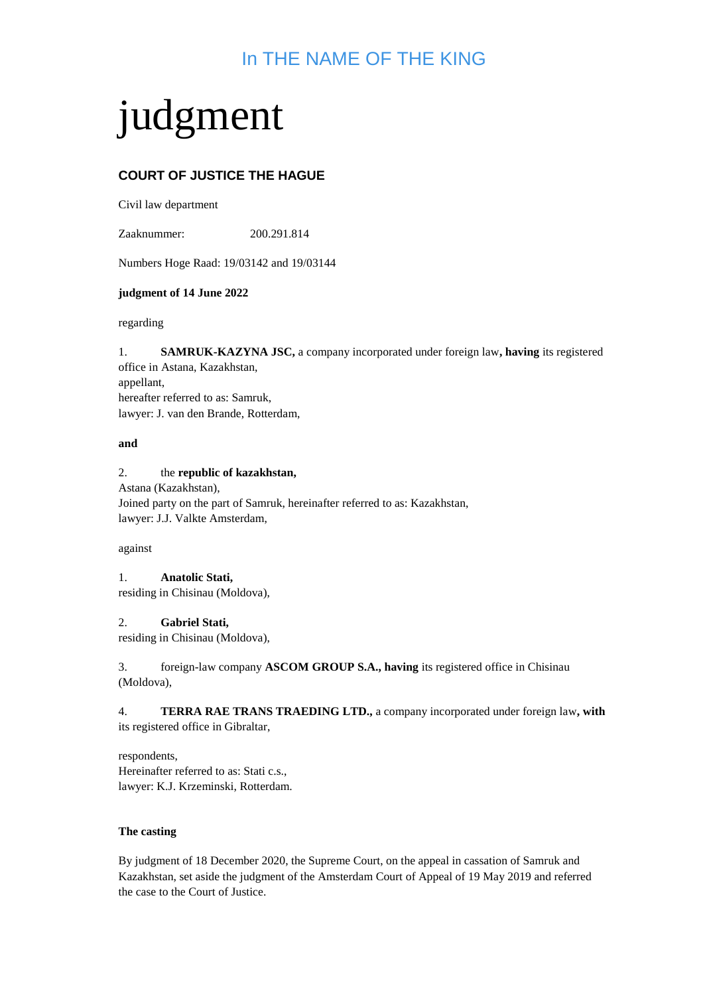## In THE NAME OF THE KING

# judgment

### **COURT OF JUSTICE THE HAGUE**

Civil law department

Zaaknummer: 200.291.814

Numbers Hoge Raad: 19/03142 and 19/03144

#### **judgment of 14 June 2022**

regarding

1. **SAMRUK-KAZYNA JSC,** a company incorporated under foreign law**, having** its registered office in Astana, Kazakhstan, appellant, hereafter referred to as: Samruk, lawyer: J. van den Brande, Rotterdam,

#### **and**

#### 2. the **republic of kazakhstan,**

Astana (Kazakhstan), Joined party on the part of Samruk, hereinafter referred to as: Kazakhstan, lawyer: J.J. Valkte Amsterdam,

#### against

1. **Anatolic Stati,**  residing in Chisinau (Moldova),

#### 2. **Gabriel Stati,**

residing in Chisinau (Moldova),

3. foreign-law company **ASCOM GROUP S.A., having** its registered office in Chisinau (Moldova),

4. **TERRA RAE TRANS TRAEDING LTD.,** a company incorporated under foreign law**, with**  its registered office in Gibraltar,

respondents, Hereinafter referred to as: Stati c.s., lawyer: K.J. Krzeminski, Rotterdam.

#### **The casting**

By judgment of 18 December 2020, the Supreme Court, on the appeal in cassation of Samruk and Kazakhstan, set aside the judgment of the Amsterdam Court of Appeal of 19 May 2019 and referred the case to the Court of Justice.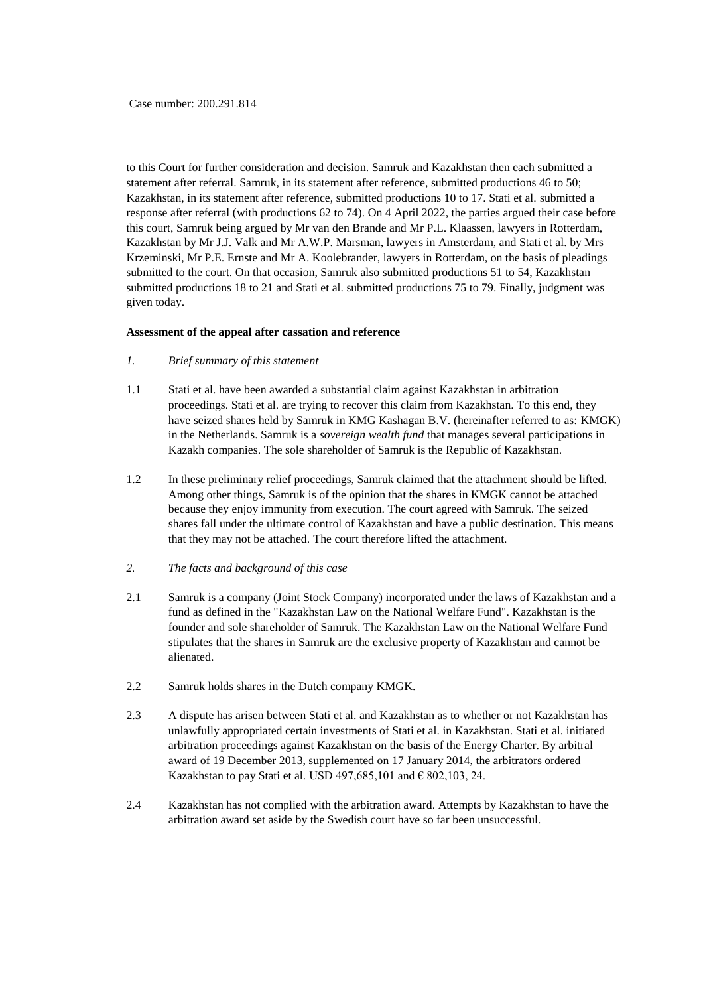to this Court for further consideration and decision. Samruk and Kazakhstan then each submitted a statement after referral. Samruk, in its statement after reference, submitted productions 46 to 50; Kazakhstan, in its statement after reference, submitted productions 10 to 17. Stati et al. submitted a response after referral (with productions 62 to 74). On 4 April 2022, the parties argued their case before this court, Samruk being argued by Mr van den Brande and Mr P.L. Klaassen, lawyers in Rotterdam, Kazakhstan by Mr J.J. Valk and Mr A.W.P. Marsman, lawyers in Amsterdam, and Stati et al. by Mrs Krzeminski, Mr P.E. Ernste and Mr A. Koolebrander, lawyers in Rotterdam, on the basis of pleadings submitted to the court. On that occasion, Samruk also submitted productions 51 to 54, Kazakhstan submitted productions 18 to 21 and Stati et al. submitted productions 75 to 79. Finally, judgment was given today.

#### **Assessment of the appeal after cassation and reference**

- *1. Brief summary of this statement*
- 1.1 Stati et al. have been awarded a substantial claim against Kazakhstan in arbitration proceedings. Stati et al. are trying to recover this claim from Kazakhstan. To this end, they have seized shares held by Samruk in KMG Kashagan B.V. (hereinafter referred to as: KMGK) in the Netherlands. Samruk is a *sovereign wealth fund* that manages several participations in Kazakh companies. The sole shareholder of Samruk is the Republic of Kazakhstan.
- 1.2 In these preliminary relief proceedings, Samruk claimed that the attachment should be lifted. Among other things, Samruk is of the opinion that the shares in KMGK cannot be attached because they enjoy immunity from execution. The court agreed with Samruk. The seized shares fall under the ultimate control of Kazakhstan and have a public destination. This means that they may not be attached. The court therefore lifted the attachment.
- *2. The facts and background of this case*
- 2.1 Samruk is a company (Joint Stock Company) incorporated under the laws of Kazakhstan and a fund as defined in the "Kazakhstan Law on the National Welfare Fund". Kazakhstan is the founder and sole shareholder of Samruk. The Kazakhstan Law on the National Welfare Fund stipulates that the shares in Samruk are the exclusive property of Kazakhstan and cannot be alienated.
- 2.2 Samruk holds shares in the Dutch company KMGK.
- 2.3 A dispute has arisen between Stati et al. and Kazakhstan as to whether or not Kazakhstan has unlawfully appropriated certain investments of Stati et al. in Kazakhstan. Stati et al. initiated arbitration proceedings against Kazakhstan on the basis of the Energy Charter. By arbitral award of 19 December 2013, supplemented on 17 January 2014, the arbitrators ordered Kazakhstan to pay Stati et al. USD 497,685,101 and  $\epsilon$  802,103, 24.
- 2.4 Kazakhstan has not complied with the arbitration award. Attempts by Kazakhstan to have the arbitration award set aside by the Swedish court have so far been unsuccessful.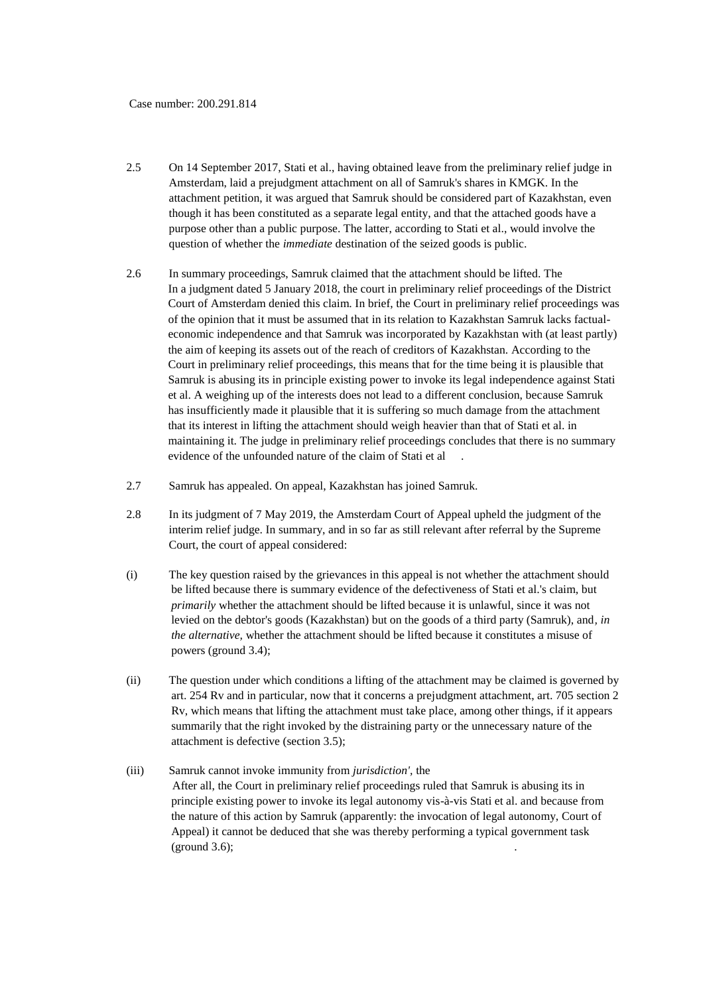- 2.5 On 14 September 2017, Stati et al., having obtained leave from the preliminary relief judge in Amsterdam, laid a prejudgment attachment on all of Samruk's shares in KMGK. In the attachment petition, it was argued that Samruk should be considered part of Kazakhstan, even though it has been constituted as a separate legal entity, and that the attached goods have a purpose other than a public purpose. The latter, according to Stati et al., would involve the question of whether the *immediate* destination of the seized goods is public.
- 2.6 In summary proceedings, Samruk claimed that the attachment should be lifted. The In a judgment dated 5 January 2018, the court in preliminary relief proceedings of the District Court of Amsterdam denied this claim. In brief, the Court in preliminary relief proceedings was of the opinion that it must be assumed that in its relation to Kazakhstan Samruk lacks factualeconomic independence and that Samruk was incorporated by Kazakhstan with (at least partly) the aim of keeping its assets out of the reach of creditors of Kazakhstan. According to the Court in preliminary relief proceedings, this means that for the time being it is plausible that Samruk is abusing its in principle existing power to invoke its legal independence against Stati et al. A weighing up of the interests does not lead to a different conclusion, because Samruk has insufficiently made it plausible that it is suffering so much damage from the attachment that its interest in lifting the attachment should weigh heavier than that of Stati et al. in maintaining it. The judge in preliminary relief proceedings concludes that there is no summary evidence of the unfounded nature of the claim of Stati et al
- 2.7 Samruk has appealed. On appeal, Kazakhstan has joined Samruk.
- 2.8 In its judgment of 7 May 2019, the Amsterdam Court of Appeal upheld the judgment of the interim relief judge. In summary, and in so far as still relevant after referral by the Supreme Court, the court of appeal considered:
- (i) The key question raised by the grievances in this appeal is not whether the attachment should be lifted because there is summary evidence of the defectiveness of Stati et al.'s claim, but *primarily* whether the attachment should be lifted because it is unlawful, since it was not levied on the debtor's goods (Kazakhstan) but on the goods of a third party (Samruk), and*, in the alternative,* whether the attachment should be lifted because it constitutes a misuse of powers (ground 3.4);
- (ii) The question under which conditions a lifting of the attachment may be claimed is governed by art. 254 Rv and in particular, now that it concerns a prejudgment attachment, art. 705 section 2 Rv, which means that lifting the attachment must take place, among other things, if it appears summarily that the right invoked by the distraining party or the unnecessary nature of the attachment is defective (section 3.5);
- (iii) Samruk cannot invoke immunity from *jurisdiction',* the After all, the Court in preliminary relief proceedings ruled that Samruk is abusing its in principle existing power to invoke its legal autonomy vis-à-vis Stati et al. and because from the nature of this action by Samruk (apparently: the invocation of legal autonomy, Court of Appeal) it cannot be deduced that she was thereby performing a typical government task  $(ground 3.6);$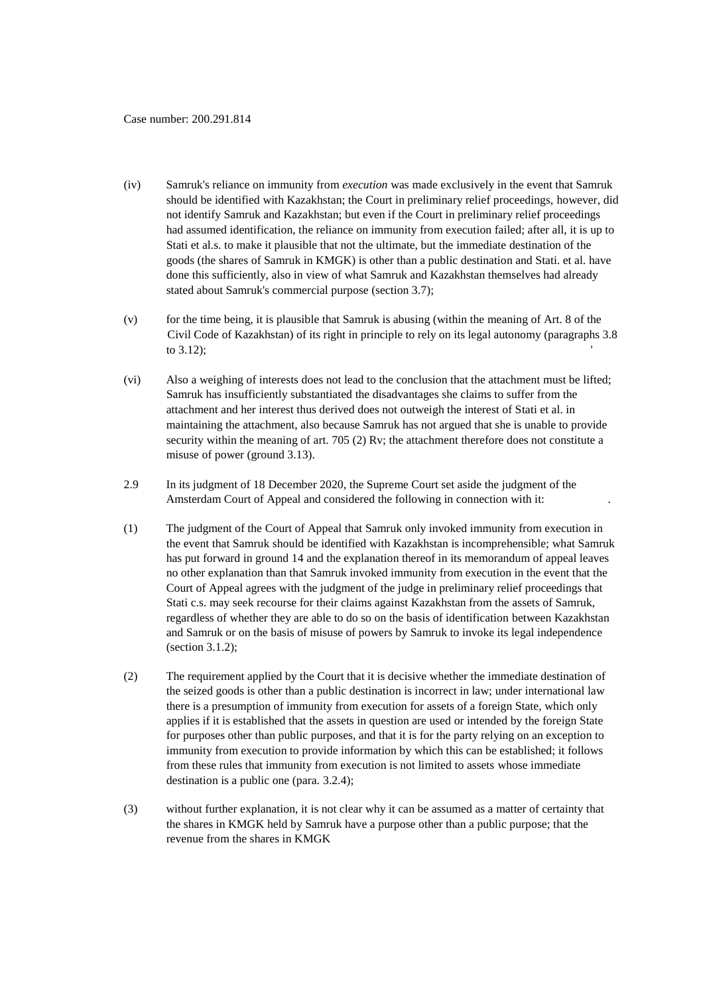- (iv) Samruk's reliance on immunity from *execution* was made exclusively in the event that Samruk should be identified with Kazakhstan; the Court in preliminary relief proceedings, however, did not identify Samruk and Kazakhstan; but even if the Court in preliminary relief proceedings had assumed identification, the reliance on immunity from execution failed; after all, it is up to Stati et al.s. to make it plausible that not the ultimate, but the immediate destination of the goods (the shares of Samruk in KMGK) is other than a public destination and Stati. et al. have done this sufficiently, also in view of what Samruk and Kazakhstan themselves had already stated about Samruk's commercial purpose (section 3.7);
- (v) for the time being, it is plausible that Samruk is abusing (within the meaning of Art. 8 of the Civil Code of Kazakhstan) of its right in principle to rely on its legal autonomy (paragraphs 3.8 to 3.12);
- (vi) Also a weighing of interests does not lead to the conclusion that the attachment must be lifted; Samruk has insufficiently substantiated the disadvantages she claims to suffer from the attachment and her interest thus derived does not outweigh the interest of Stati et al. in maintaining the attachment, also because Samruk has not argued that she is unable to provide security within the meaning of art. 705 (2) Rv; the attachment therefore does not constitute a misuse of power (ground 3.13).
- 2.9 In its judgment of 18 December 2020, the Supreme Court set aside the judgment of the Amsterdam Court of Appeal and considered the following in connection with it: .
- (1) The judgment of the Court of Appeal that Samruk only invoked immunity from execution in the event that Samruk should be identified with Kazakhstan is incomprehensible; what Samruk has put forward in ground 14 and the explanation thereof in its memorandum of appeal leaves no other explanation than that Samruk invoked immunity from execution in the event that the Court of Appeal agrees with the judgment of the judge in preliminary relief proceedings that Stati c.s. may seek recourse for their claims against Kazakhstan from the assets of Samruk, regardless of whether they are able to do so on the basis of identification between Kazakhstan and Samruk or on the basis of misuse of powers by Samruk to invoke its legal independence (section 3.1.2);
- (2) The requirement applied by the Court that it is decisive whether the immediate destination of the seized goods is other than a public destination is incorrect in law; under international law there is a presumption of immunity from execution for assets of a foreign State, which only applies if it is established that the assets in question are used or intended by the foreign State for purposes other than public purposes, and that it is for the party relying on an exception to immunity from execution to provide information by which this can be established; it follows from these rules that immunity from execution is not limited to assets whose immediate destination is a public one (para. 3.2.4);
- (3) without further explanation, it is not clear why it can be assumed as a matter of certainty that the shares in KMGK held by Samruk have a purpose other than a public purpose; that the revenue from the shares in KMGK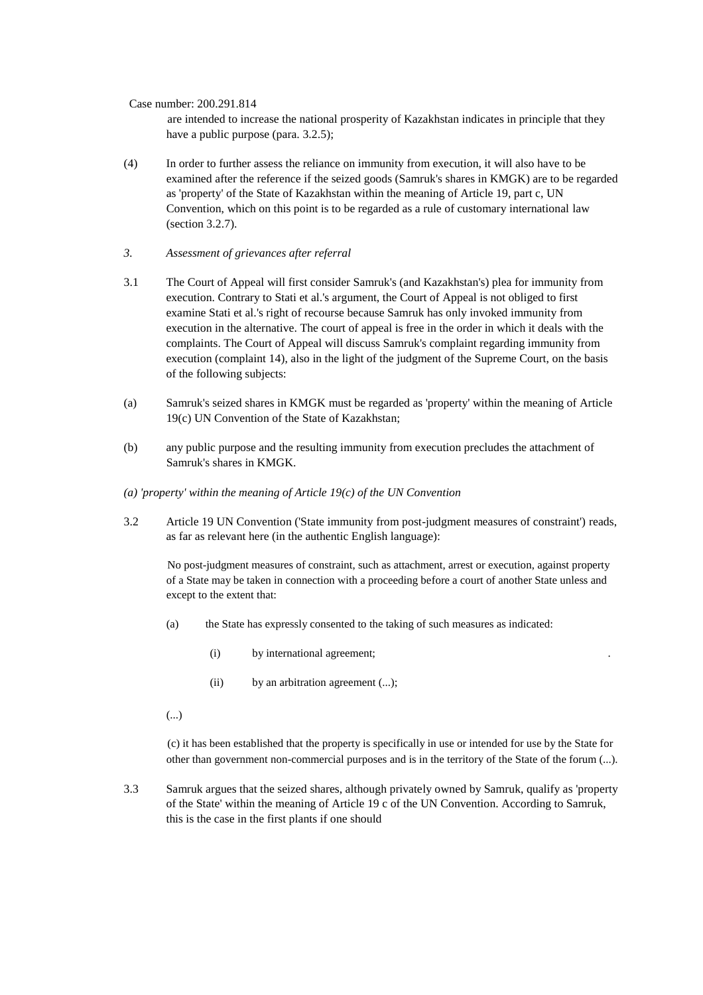are intended to increase the national prosperity of Kazakhstan indicates in principle that they have a public purpose (para. 3.2.5);

- (4) In order to further assess the reliance on immunity from execution, it will also have to be examined after the reference if the seized goods (Samruk's shares in KMGK) are to be regarded as 'property' of the State of Kazakhstan within the meaning of Article 19, part c, UN Convention, which on this point is to be regarded as a rule of customary international law (section 3.2.7).
- *3. Assessment of grievances after referral*
- 3.1 The Court of Appeal will first consider Samruk's (and Kazakhstan's) plea for immunity from execution. Contrary to Stati et al.'s argument, the Court of Appeal is not obliged to first examine Stati et al.'s right of recourse because Samruk has only invoked immunity from execution in the alternative. The court of appeal is free in the order in which it deals with the complaints. The Court of Appeal will discuss Samruk's complaint regarding immunity from execution (complaint 14), also in the light of the judgment of the Supreme Court, on the basis of the following subjects:
- (a) Samruk's seized shares in KMGK must be regarded as 'property' within the meaning of Article 19(c) UN Convention of the State of Kazakhstan;
- (b) any public purpose and the resulting immunity from execution precludes the attachment of Samruk's shares in KMGK.
- *(a) 'property' within the meaning of Article 19(c) of the UN Convention*
- 3.2 Article 19 UN Convention ('State immunity from post-judgment measures of constraint') reads, as far as relevant here (in the authentic English language):

No post-judgment measures of constraint, such as attachment, arrest or execution, against property of a State may be taken in connection with a proceeding before a court of another State unless and except to the extent that:

- (a) the State has expressly consented to the taking of such measures as indicated:
	- (i) by international agreement; .
	- (ii) by an arbitration agreement (...);
- (...)

(c) it has been established that the property is specifically in use or intended for use by the State for other than government non-commercial purposes and is in the territory of the State of the forum (...).

3.3 Samruk argues that the seized shares, although privately owned by Samruk, qualify as 'property of the State' within the meaning of Article 19 c of the UN Convention. According to Samruk, this is the case in the first plants if one should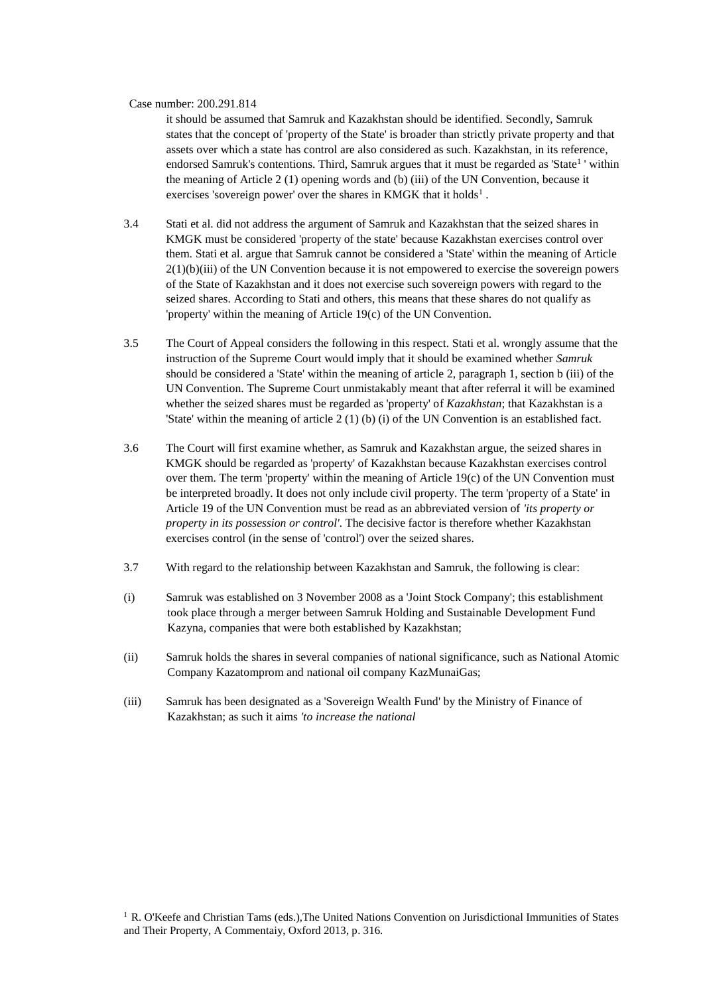it should be assumed that Samruk and Kazakhstan should be identified. Secondly, Samruk states that the concept of 'property of the State' is broader than strictly private property and that assets over which a state has control are also considered as such. Kazakhstan, in its reference, endorsed Samruk's contentions. Third, Samruk argues that it must be regarded as 'State<sup>1</sup>' within the meaning of Article 2 (1) opening words and (b) (iii) of the UN Convention, because it exercises 'sovereign power' over the shares in KMGK that it holds<sup>1</sup>.

- 3.4 Stati et al. did not address the argument of Samruk and Kazakhstan that the seized shares in KMGK must be considered 'property of the state' because Kazakhstan exercises control over them. Stati et al. argue that Samruk cannot be considered a 'State' within the meaning of Article  $2(1)(b)(iii)$  of the UN Convention because it is not empowered to exercise the sovereign powers of the State of Kazakhstan and it does not exercise such sovereign powers with regard to the seized shares. According to Stati and others, this means that these shares do not qualify as 'property' within the meaning of Article 19(c) of the UN Convention.
- 3.5 The Court of Appeal considers the following in this respect. Stati et al. wrongly assume that the instruction of the Supreme Court would imply that it should be examined whether *Samruk*  should be considered a 'State' within the meaning of article 2, paragraph 1, section b (iii) of the UN Convention. The Supreme Court unmistakably meant that after referral it will be examined whether the seized shares must be regarded as 'property' of *Kazakhstan*; that Kazakhstan is a 'State' within the meaning of article 2 (1) (b) (i) of the UN Convention is an established fact.
- 3.6 The Court will first examine whether, as Samruk and Kazakhstan argue, the seized shares in KMGK should be regarded as 'property' of Kazakhstan because Kazakhstan exercises control over them. The term 'property' within the meaning of Article 19(c) of the UN Convention must be interpreted broadly. It does not only include civil property. The term 'property of a State' in Article 19 of the UN Convention must be read as an abbreviated version of *'its property or property in its possession or control'.* The decisive factor is therefore whether Kazakhstan exercises control (in the sense of 'control') over the seized shares.
- 3.7 With regard to the relationship between Kazakhstan and Samruk, the following is clear:
- (i) Samruk was established on 3 November 2008 as a 'Joint Stock Company'; this establishment took place through a merger between Samruk Holding and Sustainable Development Fund Kazyna, companies that were both established by Kazakhstan;
- (ii) Samruk holds the shares in several companies of national significance, such as National Atomic Company Kazatomprom and national oil company KazMunaiGas;
- (iii) Samruk has been designated as a 'Sovereign Wealth Fund' by the Ministry of Finance of Kazakhstan; as such it aims *'to increase the national*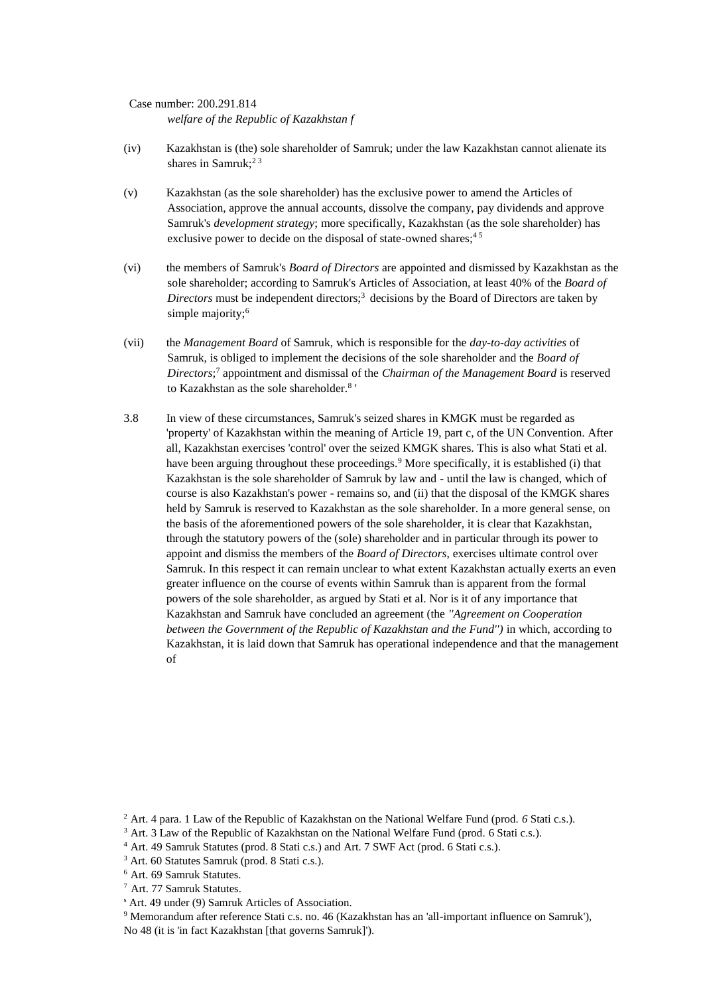Case number: 200.291.814 *welfare of the Republic of Kazakhstan f*

- (iv) Kazakhstan is (the) sole shareholder of Samruk; under the law Kazakhstan cannot alienate its shares in Samruk;<sup>23</sup>
- (v) Kazakhstan (as the sole shareholder) has the exclusive power to amend the Articles of Association, approve the annual accounts, dissolve the company, pay dividends and approve Samruk's *development strategy*; more specifically, Kazakhstan (as the sole shareholder) has exclusive power to decide on the disposal of state-owned shares;<sup>45</sup>
- (vi) the members of Samruk's *Board of Directors* are appointed and dismissed by Kazakhstan as the sole shareholder; according to Samruk's Articles of Association, at least 40% of the *Board of Directors* must be independent directors;<sup>3</sup> decisions by the Board of Directors are taken by simple majority;<sup>6</sup>
- (vii) the *Management Board* of Samruk, which is responsible for the *day-to-day activities* of Samruk, is obliged to implement the decisions of the sole shareholder and the *Board of Directors*; 7 appointment and dismissal of the *Chairman of the Management Board* is reserved to Kazakhstan as the sole shareholder.<sup>8</sup>
- 3.8 In view of these circumstances, Samruk's seized shares in KMGK must be regarded as 'property' of Kazakhstan within the meaning of Article 19, part c, of the UN Convention. After all, Kazakhstan exercises 'control' over the seized KMGK shares. This is also what Stati et al. have been arguing throughout these proceedings.<sup>9</sup> More specifically, it is established (i) that Kazakhstan is the sole shareholder of Samruk by law and - until the law is changed, which of course is also Kazakhstan's power - remains so, and (ii) that the disposal of the KMGK shares held by Samruk is reserved to Kazakhstan as the sole shareholder. In a more general sense, on the basis of the aforementioned powers of the sole shareholder, it is clear that Kazakhstan, through the statutory powers of the (sole) shareholder and in particular through its power to appoint and dismiss the members of the *Board of Directors*, exercises ultimate control over Samruk. In this respect it can remain unclear to what extent Kazakhstan actually exerts an even greater influence on the course of events within Samruk than is apparent from the formal powers of the sole shareholder, as argued by Stati et al. Nor is it of any importance that Kazakhstan and Samruk have concluded an agreement (the *''Agreement on Cooperation between the Government of the Republic of Kazakhstan and the Fund'')* in which, according to Kazakhstan, it is laid down that Samruk has operational independence and that the management of

<sup>2</sup> Art. 4 para. 1 Law of the Republic of Kazakhstan on the National Welfare Fund (prod. *6* Stati c.s.).

<sup>&</sup>lt;sup>3</sup> Art. 3 Law of the Republic of Kazakhstan on the National Welfare Fund (prod. 6 Stati c.s.).

<sup>4</sup> Art. 49 Samruk Statutes (prod. 8 Stati c.s.) and Art. 7 SWF Act (prod. 6 Stati c.s.).

<sup>3</sup> Art. 60 Statutes Samruk (prod. 8 Stati c.s.).

<sup>6</sup> Art. 69 Samruk Statutes.

<sup>7</sup> Art. 77 Samruk Statutes.

<sup>s</sup> Art. 49 under (9) Samruk Articles of Association.

<sup>9</sup> Memorandum after reference Stati c.s. no. 46 (Kazakhstan has an 'all-important influence on Samruk'), No 48 (it is 'in fact Kazakhstan [that governs Samruk]').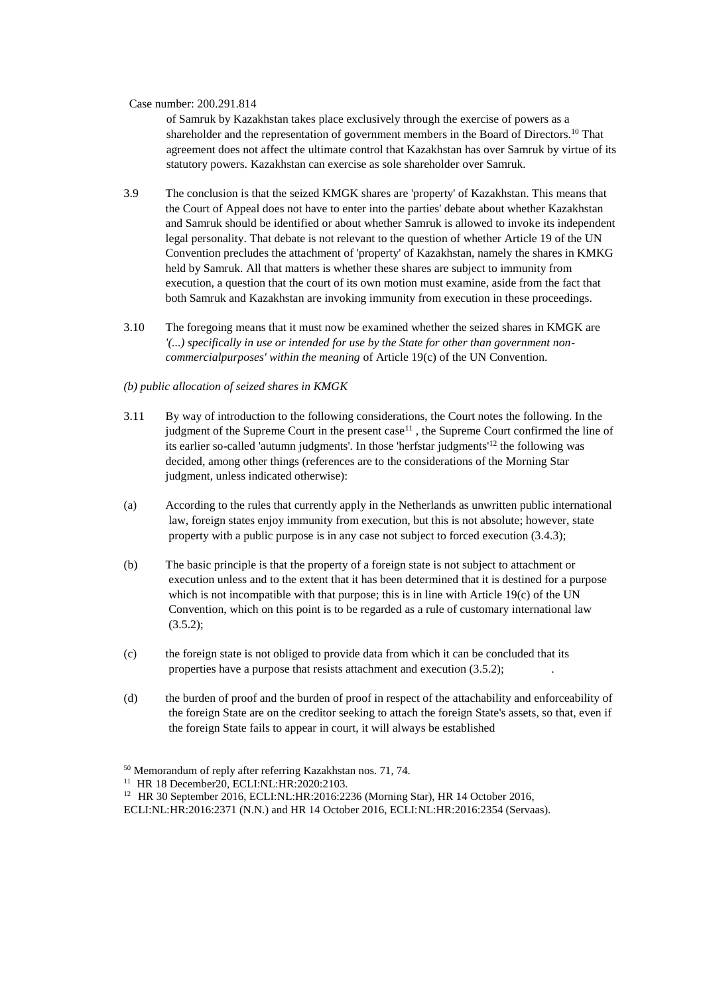of Samruk by Kazakhstan takes place exclusively through the exercise of powers as a shareholder and the representation of government members in the Board of Directors.<sup>10</sup> That agreement does not affect the ultimate control that Kazakhstan has over Samruk by virtue of its statutory powers. Kazakhstan can exercise as sole shareholder over Samruk.

- 3.9 The conclusion is that the seized KMGK shares are 'property' of Kazakhstan. This means that the Court of Appeal does not have to enter into the parties' debate about whether Kazakhstan and Samruk should be identified or about whether Samruk is allowed to invoke its independent legal personality. That debate is not relevant to the question of whether Article 19 of the UN Convention precludes the attachment of 'property' of Kazakhstan, namely the shares in KMKG held by Samruk. All that matters is whether these shares are subject to immunity from execution, a question that the court of its own motion must examine, aside from the fact that both Samruk and Kazakhstan are invoking immunity from execution in these proceedings.
- 3.10 The foregoing means that it must now be examined whether the seized shares in KMGK are *'(...) specifically in use or intended for use by the State for other than government noncommercialpurposes' within the meaning* of Article 19(c) of the UN Convention.

#### *(b) public allocation of seized shares in KMGK*

- 3.11 By way of introduction to the following considerations, the Court notes the following. In the judgment of the Supreme Court in the present case<sup>11</sup>, the Supreme Court confirmed the line of its earlier so-called 'autumn judgments'. In those 'herfstar judgments'<sup>12</sup> the following was decided, among other things (references are to the considerations of the Morning Star judgment, unless indicated otherwise):
- (a) According to the rules that currently apply in the Netherlands as unwritten public international law, foreign states enjoy immunity from execution, but this is not absolute; however, state property with a public purpose is in any case not subject to forced execution (3.4.3);
- (b) The basic principle is that the property of a foreign state is not subject to attachment or execution unless and to the extent that it has been determined that it is destined for a purpose which is not incompatible with that purpose; this is in line with Article 19 $(c)$  of the UN Convention, which on this point is to be regarded as a rule of customary international law  $(3.5.2);$
- (c) the foreign state is not obliged to provide data from which it can be concluded that its properties have a purpose that resists attachment and execution  $(3.5.2)$ ;
- (d) the burden of proof and the burden of proof in respect of the attachability and enforceability of the foreign State are on the creditor seeking to attach the foreign State's assets, so that, even if the foreign State fails to appear in court, it will always be established

ECLI:NL:HR:2016:2371 (N.N.) and HR 14 October 2016, ECLI:NL:HR:2016:2354 (Servaas).

<sup>50</sup> Memorandum of reply after referring Kazakhstan nos. 71, 74.

<sup>&</sup>lt;sup>11</sup> HR 18 December20, ECLI:NL:HR:2020:2103.

<sup>12</sup> HR 30 September 2016, ECLI:NL:HR:2016:2236 (Morning Star), HR 14 October 2016,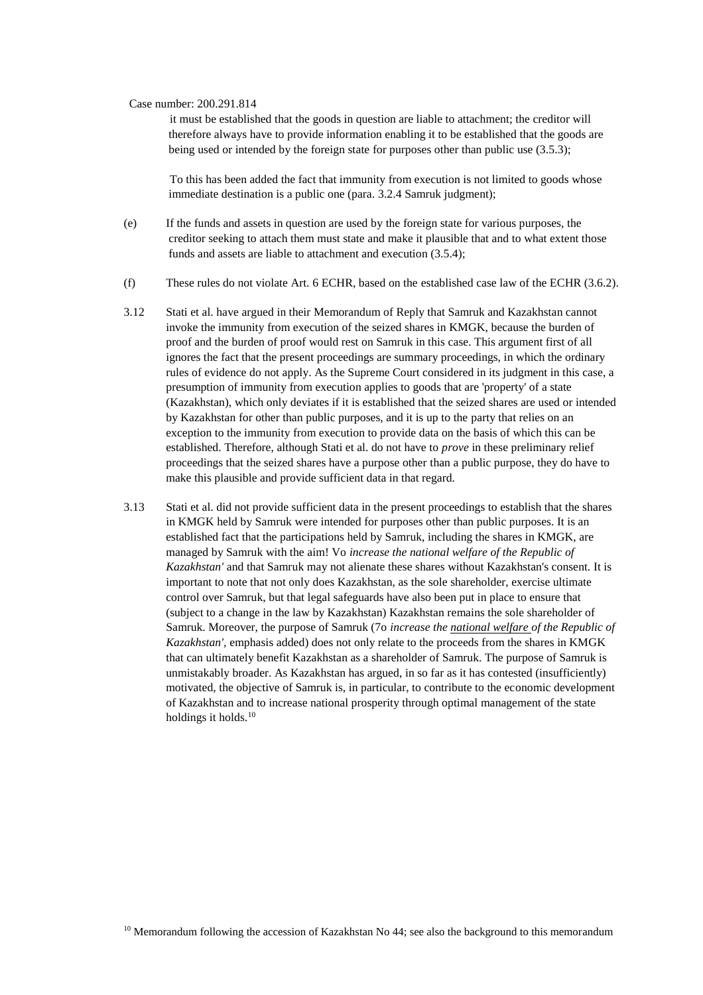it must be established that the goods in question are liable to attachment; the creditor will therefore always have to provide information enabling it to be established that the goods are being used or intended by the foreign state for purposes other than public use  $(3.5.3)$ ;

To this has been added the fact that immunity from execution is not limited to goods whose immediate destination is a public one (para. 3.2.4 Samruk judgment);

- (e) If the funds and assets in question are used by the foreign state for various purposes, the creditor seeking to attach them must state and make it plausible that and to what extent those funds and assets are liable to attachment and execution (3.5.4);
- (f) These rules do not violate Art. 6 ECHR, based on the established case law of the ECHR (3.6.2).
- 3.12 Stati et al. have argued in their Memorandum of Reply that Samruk and Kazakhstan cannot invoke the immunity from execution of the seized shares in KMGK, because the burden of proof and the burden of proof would rest on Samruk in this case. This argument first of all ignores the fact that the present proceedings are summary proceedings, in which the ordinary rules of evidence do not apply. As the Supreme Court considered in its judgment in this case, a presumption of immunity from execution applies to goods that are 'property' of a state (Kazakhstan), which only deviates if it is established that the seized shares are used or intended by Kazakhstan for other than public purposes, and it is up to the party that relies on an exception to the immunity from execution to provide data on the basis of which this can be established. Therefore, although Stati et al. do not have to *prove* in these preliminary relief proceedings that the seized shares have a purpose other than a public purpose, they do have to make this plausible and provide sufficient data in that regard.
- 3.13 Stati et al. did not provide sufficient data in the present proceedings to establish that the shares in KMGK held by Samruk were intended for purposes other than public purposes. It is an established fact that the participations held by Samruk, including the shares in KMGK, are managed by Samruk with the aim! Vo *increase the national welfare of the Republic of Kazakhstan'* and that Samruk may not alienate these shares without Kazakhstan's consent. It is important to note that not only does Kazakhstan, as the sole shareholder, exercise ultimate control over Samruk, but that legal safeguards have also been put in place to ensure that (subject to a change in the law by Kazakhstan) Kazakhstan remains the sole shareholder of Samruk. Moreover, the purpose of Samruk (7o *increase the national welfare of the Republic of Kazakhstan',* emphasis added) does not only relate to the proceeds from the shares in KMGK that can ultimately benefit Kazakhstan as a shareholder of Samruk. The purpose of Samruk is unmistakably broader. As Kazakhstan has argued, in so far as it has contested (insufficiently) motivated, the objective of Samruk is, in particular, to contribute to the economic development of Kazakhstan and to increase national prosperity through optimal management of the state holdings it holds.<sup>10</sup>

<sup>&</sup>lt;sup>10</sup> Memorandum following the accession of Kazakhstan No  $44$ ; see also the background to this memorandum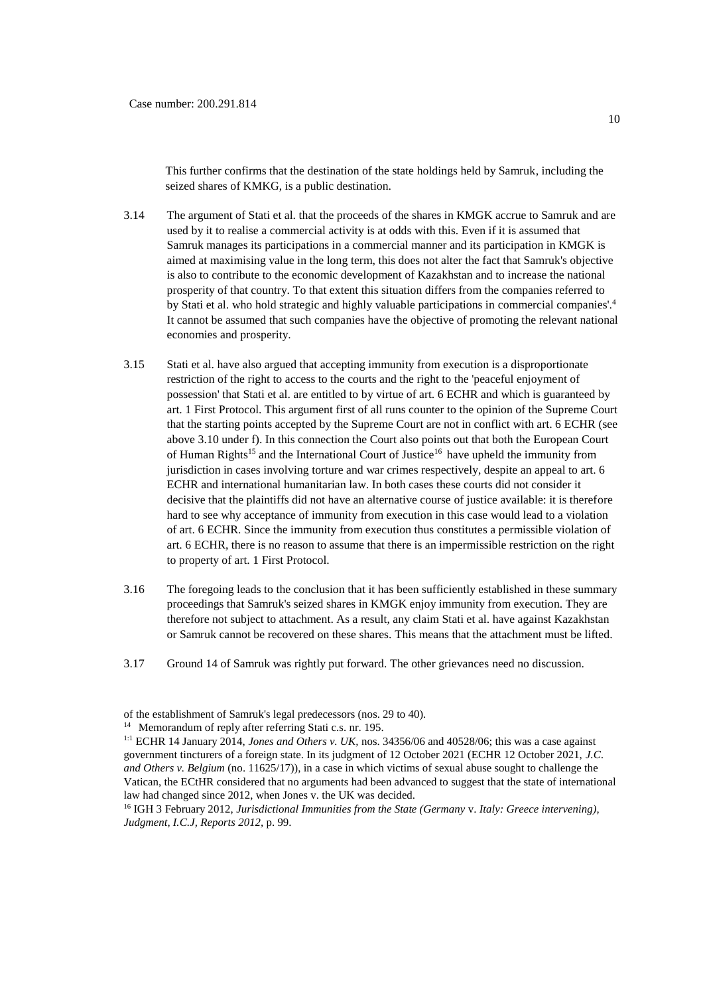This further confirms that the destination of the state holdings held by Samruk, including the seized shares of KMKG, is a public destination.

- 3.14 The argument of Stati et al. that the proceeds of the shares in KMGK accrue to Samruk and are used by it to realise a commercial activity is at odds with this. Even if it is assumed that Samruk manages its participations in a commercial manner and its participation in KMGK is aimed at maximising value in the long term, this does not alter the fact that Samruk's objective is also to contribute to the economic development of Kazakhstan and to increase the national prosperity of that country. To that extent this situation differs from the companies referred to by Stati et al. who hold strategic and highly valuable participations in commercial companies'.<sup>4</sup> It cannot be assumed that such companies have the objective of promoting the relevant national economies and prosperity.
- 3.15 Stati et al. have also argued that accepting immunity from execution is a disproportionate restriction of the right to access to the courts and the right to the 'peaceful enjoyment of possession' that Stati et al. are entitled to by virtue of art. 6 ECHR and which is guaranteed by art. 1 First Protocol. This argument first of all runs counter to the opinion of the Supreme Court that the starting points accepted by the Supreme Court are not in conflict with art. 6 ECHR (see above 3.10 under f). In this connection the Court also points out that both the European Court of Human Rights<sup>15</sup> and the International Court of Justice<sup>16</sup> have upheld the immunity from jurisdiction in cases involving torture and war crimes respectively, despite an appeal to art. 6 ECHR and international humanitarian law. In both cases these courts did not consider it decisive that the plaintiffs did not have an alternative course of justice available: it is therefore hard to see why acceptance of immunity from execution in this case would lead to a violation of art. 6 ECHR. Since the immunity from execution thus constitutes a permissible violation of art. 6 ECHR, there is no reason to assume that there is an impermissible restriction on the right to property of art. 1 First Protocol.
- 3.16 The foregoing leads to the conclusion that it has been sufficiently established in these summary proceedings that Samruk's seized shares in KMGK enjoy immunity from execution. They are therefore not subject to attachment. As a result, any claim Stati et al. have against Kazakhstan or Samruk cannot be recovered on these shares. This means that the attachment must be lifted.
- 3.17 Ground 14 of Samruk was rightly put forward. The other grievances need no discussion.

<sup>16</sup> IGH 3 February 2012, *Jurisdictional Immunities from the State (Germany* v. *Italy: Greece intervening), Judgment, I.C.J, Reports 2012,* p. 99.

of the establishment of Samruk's legal predecessors (nos. 29 to 40).

<sup>14</sup> Memorandum of reply after referring Stati c.s. nr. 195.

<sup>1:1</sup> ECHR 14 January 2014, *Jones and Others v. UK,* nos. 34356/06 and 40528/06; this was a case against government tincturers of a foreign state. In its judgment of 12 October 2021 (ECHR 12 October 2021, *J.C. and Others v. Belgium* (no. 11625/17)), in a case in which victims of sexual abuse sought to challenge the Vatican, the ECtHR considered that no arguments had been advanced to suggest that the state of international law had changed since 2012, when Jones v. the UK was decided.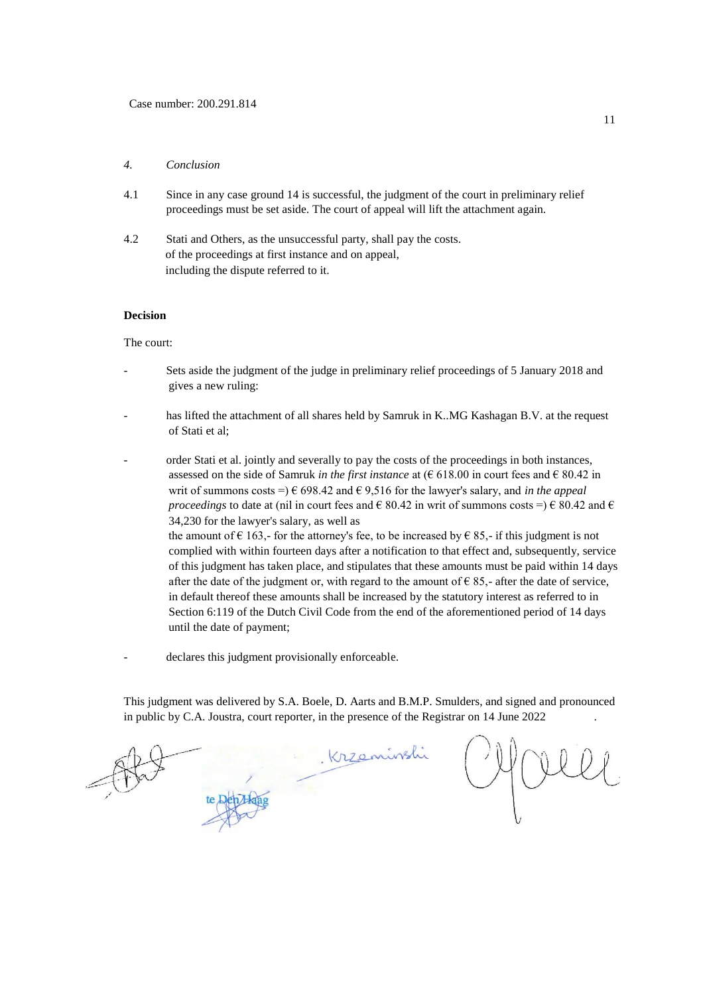#### *4. Conclusion*

- 4.1 Since in any case ground 14 is successful, the judgment of the court in preliminary relief proceedings must be set aside. The court of appeal will lift the attachment again.
- 4.2 Stati and Others, as the unsuccessful party, shall pay the costs. of the proceedings at first instance and on appeal, including the dispute referred to it.

#### **Decision**

The court:

- Sets aside the judgment of the judge in preliminary relief proceedings of 5 January 2018 and gives a new ruling:
- has lifted the attachment of all shares held by Samruk in K..MG Kashagan B.V. at the request of Stati et al;
- order Stati et al. jointly and severally to pay the costs of the proceedings in both instances, assessed on the side of Samruk *in the first instance* at ( $\epsilon$  618.00 in court fees and  $\epsilon$  80.42 in writ of summons costs =)  $\epsilon$  698.42 and  $\epsilon$  9,516 for the lawyer's salary, and *in the appeal proceedings* to date at (nil in court fees and  $\epsilon$  80.42 in writ of summons costs =)  $\epsilon$  80.42 and  $\epsilon$ 34,230 for the lawyer's salary, as well as the amount of  $\epsilon$  163,- for the attorney's fee, to be increased by  $\epsilon$  85,- if this judgment is not complied with within fourteen days after a notification to that effect and, subsequently, service of this judgment has taken place, and stipulates that these amounts must be paid within 14 days after the date of the judgment or, with regard to the amount of  $\epsilon$  85,- after the date of service, in default thereof these amounts shall be increased by the statutory interest as referred to in Section 6:119 of the Dutch Civil Code from the end of the aforementioned period of 14 days until the date of payment;
- declares this judgment provisionally enforceable.

This judgment was delivered by S.A. Boele, D. Aarts and B.M.P. Smulders, and signed and pronounced in public by C.A. Joustra, court reporter, in the presence of the Registrar on 14 June 2022 .

Krzeninsli